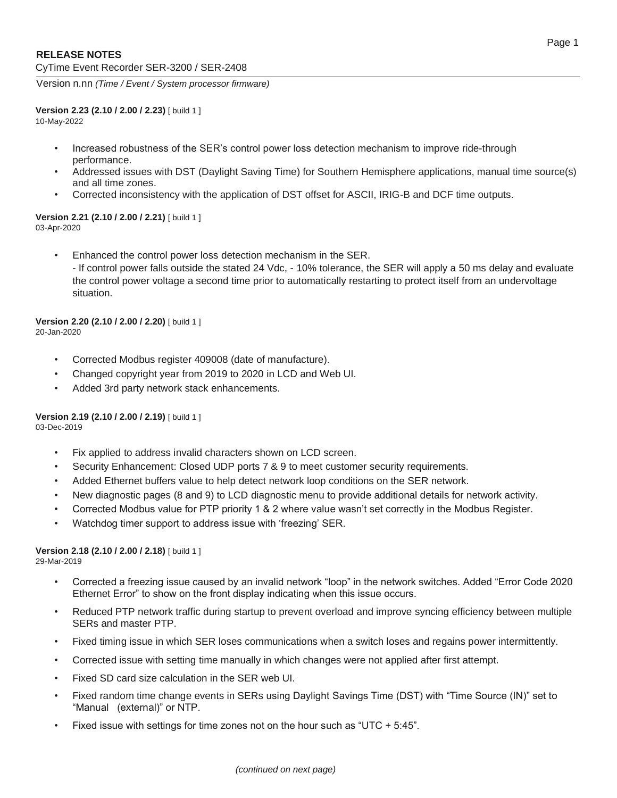Version n.nn *(Time / Event / System processor firmware)*

#### **Version 2.23 (2.10 / 2.00 / 2.23)** [ build 1 ]

10-May-2022

- Increased robustness of the SER's control power loss detection mechanism to improve ride-through performance.
- Addressed issues with DST (Daylight Saving Time) for Southern Hemisphere applications, manual time source(s) and all time zones.
- Corrected inconsistency with the application of DST offset for ASCII, IRIG-B and DCF time outputs.

#### **Version 2.21 (2.10 / 2.00 / 2.21)** [ build 1 ] 03-Apr-2020

• Enhanced the control power loss detection mechanism in the SER. - If control power falls outside the stated 24 Vdc, - 10% tolerance, the SER will apply a 50 ms delay and evaluate the control power voltage a second time prior to automatically restarting to protect itself from an undervoltage situation.

#### **Version 2.20 (2.10 / 2.00 / 2.20)** [ build 1 ] 20-Jan-2020

- Corrected Modbus register 409008 (date of manufacture).
- Changed copyright year from 2019 to 2020 in LCD and Web UI.
- Added 3rd party network stack enhancements.

**Version 2.19 (2.10 / 2.00 / 2.19)** [ build 1 ] 03-Dec-2019

- Fix applied to address invalid characters shown on LCD screen.
- Security Enhancement: Closed UDP ports 7 & 9 to meet customer security requirements.
- Added Ethernet buffers value to help detect network loop conditions on the SER network.
- New diagnostic pages (8 and 9) to LCD diagnostic menu to provide additional details for network activity.
- Corrected Modbus value for PTP priority 1 & 2 where value wasn't set correctly in the Modbus Register.
- Watchdog timer support to address issue with 'freezing' SER.

# **Version 2.18 (2.10 / 2.00 / 2.18)** [ build 1 ]

29-Mar-2019

- Corrected a freezing issue caused by an invalid network "loop" in the network switches. Added "Error Code 2020 Ethernet Error" to show on the front display indicating when this issue occurs.
- Reduced PTP network traffic during startup to prevent overload and improve syncing efficiency between multiple SERs and master PTP.
- Fixed timing issue in which SER loses communications when a switch loses and regains power intermittently.
- Corrected issue with setting time manually in which changes were not applied after first attempt.
- Fixed SD card size calculation in the SER web UI.
- Fixed random time change events in SERs using Daylight Savings Time (DST) with "Time Source (IN)" set to "Manual (external)" or NTP.
- Fixed issue with settings for time zones not on the hour such as "UTC + 5:45".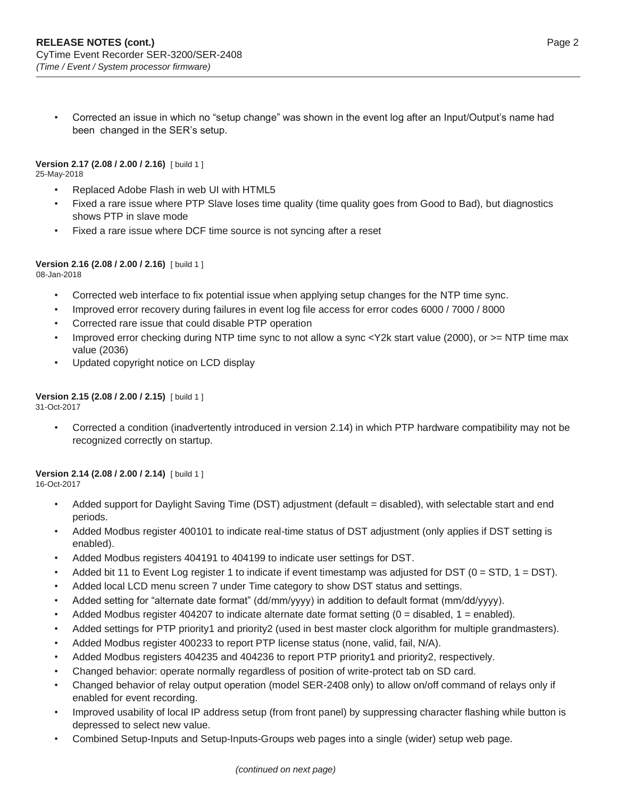• Corrected an issue in which no "setup change" was shown in the event log after an Input/Output's name had been changed in the SER's setup.

**Version 2.17 (2.08 / 2.00 / 2.16)** [ build 1 ] 25-May-2018

- Replaced Adobe Flash in web UI with HTML5
- Fixed a rare issue where PTP Slave loses time quality (time quality goes from Good to Bad), but diagnostics shows PTP in slave mode
- Fixed a rare issue where DCF time source is not syncing after a reset

# **Version 2.16 (2.08 / 2.00 / 2.16)** [ build 1 ]

08-Jan-2018

- Corrected web interface to fix potential issue when applying setup changes for the NTP time sync.
- Improved error recovery during failures in event log file access for error codes 6000 / 7000 / 8000
- Corrected rare issue that could disable PTP operation
- Improved error checking during NTP time sync to not allow a sync <Y2k start value (2000), or >= NTP time max value (2036)
- Updated copyright notice on LCD display

# **Version 2.15 (2.08 / 2.00 / 2.15)** [ build 1 ]

31-Oct-2017

• Corrected a condition (inadvertently introduced in version 2.14) in which PTP hardware compatibility may not be recognized correctly on startup.

# **Version 2.14 (2.08 / 2.00 / 2.14)** [ build 1 ]

16-Oct-2017

- Added support for Daylight Saving Time (DST) adjustment (default = disabled), with selectable start and end periods.
- Added Modbus register 400101 to indicate real-time status of DST adjustment (only applies if DST setting is enabled).
- Added Modbus registers 404191 to 404199 to indicate user settings for DST.
- Added bit 11 to Event Log register 1 to indicate if event timestamp was adjusted for DST (0 = STD, 1 = DST).
- Added local LCD menu screen 7 under Time category to show DST status and settings.
- Added setting for "alternate date format" (dd/mm/yyyy) in addition to default format (mm/dd/yyyy).
- Added Modbus register 404207 to indicate alternate date format setting  $(0 =$  disabled,  $1 =$  enabled).
- Added settings for PTP priority1 and priority2 (used in best master clock algorithm for multiple grandmasters).
- Added Modbus register 400233 to report PTP license status (none, valid, fail, N/A).
- Added Modbus registers 404235 and 404236 to report PTP priority1 and priority2, respectively.
- Changed behavior: operate normally regardless of position of write-protect tab on SD card.
- Changed behavior of relay output operation (model SER-2408 only) to allow on/off command of relays only if enabled for event recording.
- Improved usability of local IP address setup (from front panel) by suppressing character flashing while button is depressed to select new value.
- Combined Setup-Inputs and Setup-Inputs-Groups web pages into a single (wider) setup web page.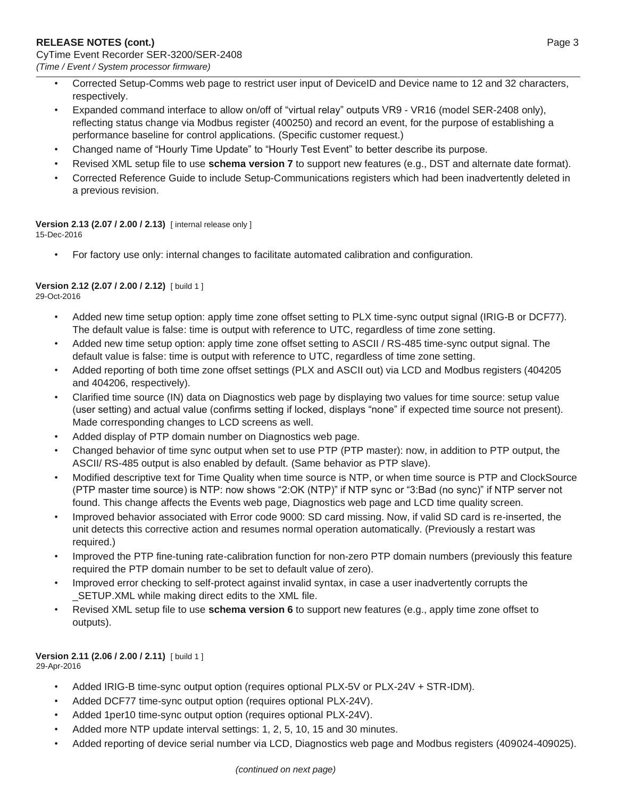- Corrected Setup-Comms web page to restrict user input of DeviceID and Device name to 12 and 32 characters, respectively.
- Expanded command interface to allow on/off of "virtual relay" outputs VR9 VR16 (model SER-2408 only), reflecting status change via Modbus register (400250) and record an event, for the purpose of establishing a performance baseline for control applications. (Specific customer request.)
- Changed name of "Hourly Time Update" to "Hourly Test Event" to better describe its purpose.
- Revised XML setup file to use **schema version 7** to support new features (e.g., DST and alternate date format).
- Corrected Reference Guide to include Setup-Communications registers which had been inadvertently deleted in a previous revision.

# **Version 2.13 (2.07 / 2.00 / 2.13)** [ internal release only ]

15-Dec-2016

• For factory use only: internal changes to facilitate automated calibration and configuration.

#### **Version 2.12 (2.07 / 2.00 / 2.12)** [ build 1 ] 29-Oct-2016

- Added new time setup option: apply time zone offset setting to PLX time-sync output signal (IRIG-B or DCF77). The default value is false: time is output with reference to UTC, regardless of time zone setting.
- Added new time setup option: apply time zone offset setting to ASCII / RS-485 time-sync output signal. The default value is false: time is output with reference to UTC, regardless of time zone setting.
- Added reporting of both time zone offset settings (PLX and ASCII out) via LCD and Modbus registers (404205 and 404206, respectively).
- Clarified time source (IN) data on Diagnostics web page by displaying two values for time source: setup value (user setting) and actual value (confirms setting if locked, displays "none" if expected time source not present). Made corresponding changes to LCD screens as well.
- Added display of PTP domain number on Diagnostics web page.
- Changed behavior of time sync output when set to use PTP (PTP master): now, in addition to PTP output, the ASCII/ RS-485 output is also enabled by default. (Same behavior as PTP slave).
- Modified descriptive text for Time Quality when time source is NTP, or when time source is PTP and ClockSource (PTP master time source) is NTP: now shows "2:OK (NTP)" if NTP sync or "3:Bad (no sync)" if NTP server not found. This change affects the Events web page, Diagnostics web page and LCD time quality screen.
- Improved behavior associated with Error code 9000: SD card missing. Now, if valid SD card is re-inserted, the unit detects this corrective action and resumes normal operation automatically. (Previously a restart was required.)
- Improved the PTP fine-tuning rate-calibration function for non-zero PTP domain numbers (previously this feature required the PTP domain number to be set to default value of zero).
- Improved error checking to self-protect against invalid syntax, in case a user inadvertently corrupts the \_SETUP.XML while making direct edits to the XML file.
- Revised XML setup file to use **schema version 6** to support new features (e.g., apply time zone offset to outputs).

# **Version 2.11 (2.06 / 2.00 / 2.11)** [ build 1 ]

29-Apr-2016

- Added IRIG-B time-sync output option (requires optional PLX-5V or PLX-24V + STR-IDM).
- Added DCF77 time-sync output option (requires optional PLX-24V).
- Added 1per10 time-sync output option (requires optional PLX-24V).
- Added more NTP update interval settings: 1, 2, 5, 10, 15 and 30 minutes.
- Added reporting of device serial number via LCD, Diagnostics web page and Modbus registers (409024-409025).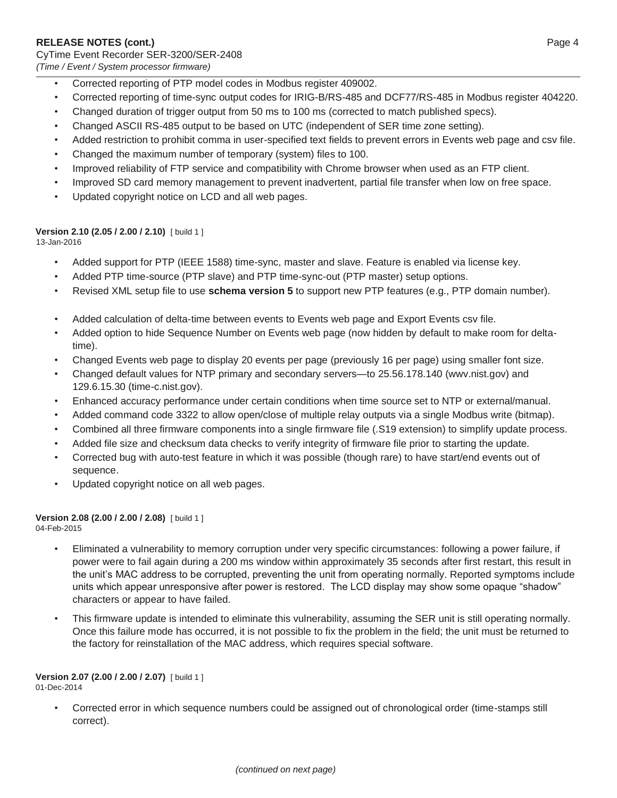- Corrected reporting of PTP model codes in Modbus register 409002.
- Corrected reporting of time-sync output codes for IRIG-B/RS-485 and DCF77/RS-485 in Modbus register 404220.
- Changed duration of trigger output from 50 ms to 100 ms (corrected to match published specs).
- Changed ASCII RS-485 output to be based on UTC (independent of SER time zone setting).
- Added restriction to prohibit comma in user-specified text fields to prevent errors in Events web page and csv file.
- Changed the maximum number of temporary (system) files to 100.
- Improved reliability of FTP service and compatibility with Chrome browser when used as an FTP client.
- Improved SD card memory management to prevent inadvertent, partial file transfer when low on free space.
- Updated copyright notice on LCD and all web pages.

#### **Version 2.10 (2.05 / 2.00 / 2.10)** [ build 1 ]

13-Jan-2016

- Added support for PTP (IEEE 1588) time-sync, master and slave. Feature is enabled via license key.
- Added PTP time-source (PTP slave) and PTP time-sync-out (PTP master) setup options.
- Revised XML setup file to use **schema version 5** to support new PTP features (e.g., PTP domain number).
- Added calculation of delta-time between events to Events web page and Export Events csv file.
- Added option to hide Sequence Number on Events web page (now hidden by default to make room for deltatime).
- Changed Events web page to display 20 events per page (previously 16 per page) using smaller font size.
- Changed default values for NTP primary and secondary servers—to 25.56.178.140 (wwv.nist.gov) and 129.6.15.30 (time-c.nist.gov).
- Enhanced accuracy performance under certain conditions when time source set to NTP or external/manual.
- Added command code 3322 to allow open/close of multiple relay outputs via a single Modbus write (bitmap).
- Combined all three firmware components into a single firmware file (.S19 extension) to simplify update process.
- Added file size and checksum data checks to verify integrity of firmware file prior to starting the update.
- Corrected bug with auto-test feature in which it was possible (though rare) to have start/end events out of sequence.
- Updated copyright notice on all web pages.

#### **Version 2.08 (2.00 / 2.00 / 2.08)** [ build 1 ] 04-Feb-2015

- - Eliminated a vulnerability to memory corruption under very specific circumstances: following a power failure, if power were to fail again during a 200 ms window within approximately 35 seconds after first restart, this result in the unit's MAC address to be corrupted, preventing the unit from operating normally. Reported symptoms include units which appear unresponsive after power is restored. The LCD display may show some opaque "shadow" characters or appear to have failed.
	- This firmware update is intended to eliminate this vulnerability, assuming the SER unit is still operating normally. Once this failure mode has occurred, it is not possible to fix the problem in the field; the unit must be returned to the factory for reinstallation of the MAC address, which requires special software.

# **Version 2.07 (2.00 / 2.00 / 2.07)** [ build 1 ]

01-Dec-2014

• Corrected error in which sequence numbers could be assigned out of chronological order (time-stamps still correct).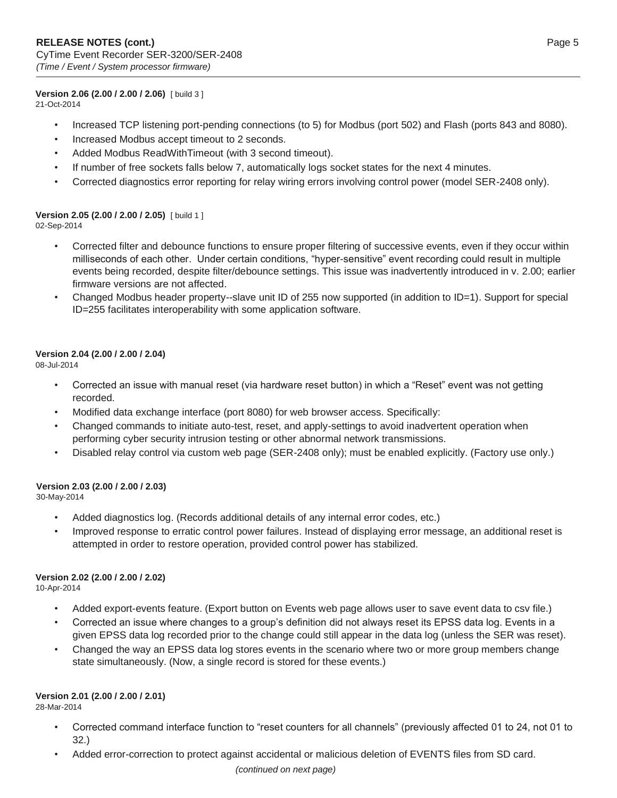#### **Version 2.06 (2.00 / 2.00 / 2.06)** [ build 3 ]

21-Oct-2014

- Increased TCP listening port-pending connections (to 5) for Modbus (port 502) and Flash (ports 843 and 8080).
- Increased Modbus accept timeout to 2 seconds.
- Added Modbus ReadWithTimeout (with 3 second timeout).
- If number of free sockets falls below 7, automatically logs socket states for the next 4 minutes.
- Corrected diagnostics error reporting for relay wiring errors involving control power (model SER-2408 only).

# **Version 2.05 (2.00 / 2.00 / 2.05)** [ build 1 ]

02-Sep-2014

- Corrected filter and debounce functions to ensure proper filtering of successive events, even if they occur within milliseconds of each other. Under certain conditions, "hyper-sensitive" event recording could result in multiple events being recorded, despite filter/debounce settings. This issue was inadvertently introduced in v. 2.00; earlier firmware versions are not affected.
- Changed Modbus header property--slave unit ID of 255 now supported (in addition to ID=1). Support for special ID=255 facilitates interoperability with some application software.

### **Version 2.04 (2.00 / 2.00 / 2.04)**

08-Jul-2014

- Corrected an issue with manual reset (via hardware reset button) in which a "Reset" event was not getting recorded.
- Modified data exchange interface (port 8080) for web browser access. Specifically:
- Changed commands to initiate auto-test, reset, and apply-settings to avoid inadvertent operation when performing cyber security intrusion testing or other abnormal network transmissions.
- Disabled relay control via custom web page (SER-2408 only); must be enabled explicitly. (Factory use only.)

# **Version 2.03 (2.00 / 2.00 / 2.03)**

30-May-2014

- Added diagnostics log. (Records additional details of any internal error codes, etc.)
- Improved response to erratic control power failures. Instead of displaying error message, an additional reset is attempted in order to restore operation, provided control power has stabilized.

#### **Version 2.02 (2.00 / 2.00 / 2.02)**

10-Apr-2014

- Added export-events feature. (Export button on Events web page allows user to save event data to csv file.)
- Corrected an issue where changes to a group's definition did not always reset its EPSS data log. Events in a given EPSS data log recorded prior to the change could still appear in the data log (unless the SER was reset).
- Changed the way an EPSS data log stores events in the scenario where two or more group members change state simultaneously. (Now, a single record is stored for these events.)

# **Version 2.01 (2.00 / 2.00 / 2.01)**

28-Mar-2014

- Corrected command interface function to "reset counters for all channels" (previously affected 01 to 24, not 01 to 32.)
- Added error-correction to protect against accidental or malicious deletion of EVENTS files from SD card.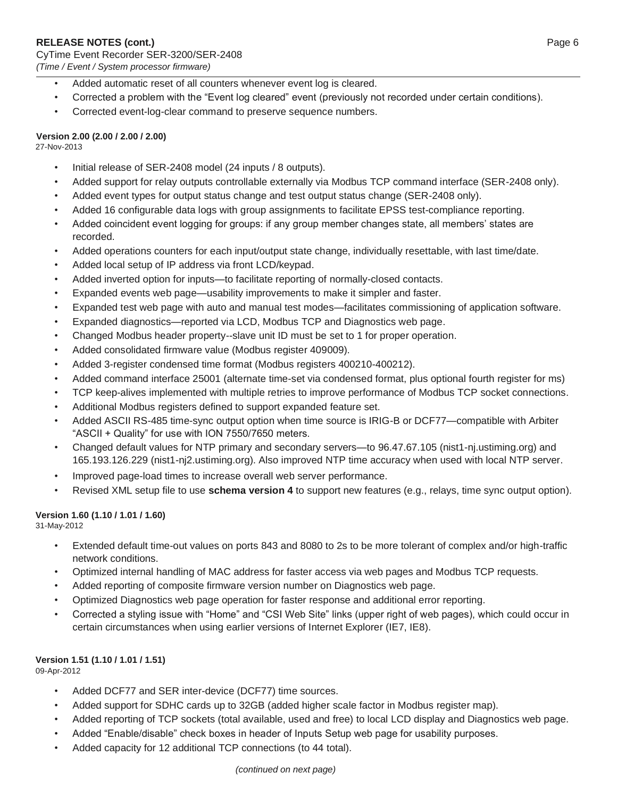- Added automatic reset of all counters whenever event log is cleared.
- Corrected a problem with the "Event log cleared" event (previously not recorded under certain conditions).
- Corrected event-log-clear command to preserve sequence numbers.

# **Version 2.00 (2.00 / 2.00 / 2.00)**

27-Nov-2013

- Initial release of SER-2408 model (24 inputs / 8 outputs).
- Added support for relay outputs controllable externally via Modbus TCP command interface (SER-2408 only).
- Added event types for output status change and test output status change (SER-2408 only).
- Added 16 configurable data logs with group assignments to facilitate EPSS test-compliance reporting.
- Added coincident event logging for groups: if any group member changes state, all members' states are recorded.
- Added operations counters for each input/output state change, individually resettable, with last time/date.
- Added local setup of IP address via front LCD/keypad.
- Added inverted option for inputs—to facilitate reporting of normally-closed contacts.
- Expanded events web page—usability improvements to make it simpler and faster.
- Expanded test web page with auto and manual test modes—facilitates commissioning of application software.
- Expanded diagnostics—reported via LCD, Modbus TCP and Diagnostics web page.
- Changed Modbus header property--slave unit ID must be set to 1 for proper operation.
- Added consolidated firmware value (Modbus register 409009).
- Added 3-register condensed time format (Modbus registers 400210-400212).
- Added command interface 25001 (alternate time-set via condensed format, plus optional fourth register for ms)
- TCP keep-alives implemented with multiple retries to improve performance of Modbus TCP socket connections.
- Additional Modbus registers defined to support expanded feature set.
- Added ASCII RS-485 time-sync output option when time source is IRIG-B or DCF77—compatible with Arbiter "ASCII + Quality" for use with ION 7550/7650 meters.
- Changed default values for NTP primary and secondary servers—to 96.47.67.105 (nist1-nj.ustiming.org) and 165.193.126.229 (nist1-nj2.ustiming.org). Also improved NTP time accuracy when used with local NTP server.
- Improved page-load times to increase overall web server performance.
- Revised XML setup file to use **schema version 4** to support new features (e.g., relays, time sync output option).

# **Version 1.60 (1.10 / 1.01 / 1.60)**

31-May-2012

- Extended default time-out values on ports 843 and 8080 to 2s to be more tolerant of complex and/or high-traffic network conditions.
- Optimized internal handling of MAC address for faster access via web pages and Modbus TCP requests.
- Added reporting of composite firmware version number on Diagnostics web page.
- Optimized Diagnostics web page operation for faster response and additional error reporting.
- Corrected a styling issue with "Home" and "CSI Web Site" links (upper right of web pages), which could occur in certain circumstances when using earlier versions of Internet Explorer (IE7, IE8).

# **Version 1.51 (1.10 / 1.01 / 1.51)**

09-Apr-2012

- Added DCF77 and SER inter-device (DCF77) time sources.
- Added support for SDHC cards up to 32GB (added higher scale factor in Modbus register map).
- Added reporting of TCP sockets (total available, used and free) to local LCD display and Diagnostics web page.
- Added "Enable/disable" check boxes in header of Inputs Setup web page for usability purposes.
- Added capacity for 12 additional TCP connections (to 44 total).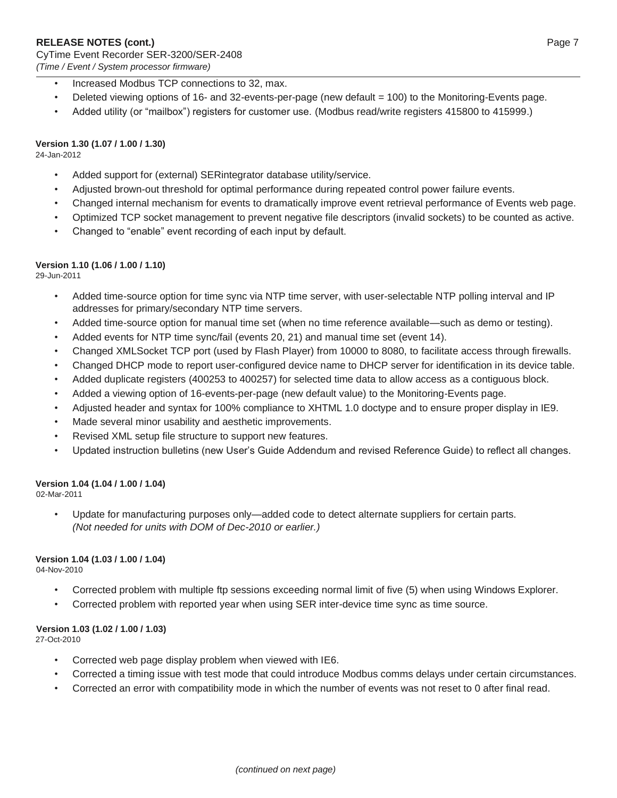- Increased Modbus TCP connections to 32, max.
- Deleted viewing options of 16- and 32-events-per-page (new default = 100) to the Monitoring-Events page.
- Added utility (or "mailbox") registers for customer use. (Modbus read/write registers 415800 to 415999.)

### **Version 1.30 (1.07 / 1.00 / 1.30)**

24-Jan-2012

- Added support for (external) SERintegrator database utility/service.
- Adjusted brown-out threshold for optimal performance during repeated control power failure events.
- Changed internal mechanism for events to dramatically improve event retrieval performance of Events web page.
- Optimized TCP socket management to prevent negative file descriptors (invalid sockets) to be counted as active.
- Changed to "enable" event recording of each input by default.

#### **Version 1.10 (1.06 / 1.00 / 1.10)**

29-Jun-2011

- Added time-source option for time sync via NTP time server, with user-selectable NTP polling interval and IP addresses for primary/secondary NTP time servers.
- Added time-source option for manual time set (when no time reference available—such as demo or testing).
- Added events for NTP time sync/fail (events 20, 21) and manual time set (event 14).
- Changed XMLSocket TCP port (used by Flash Player) from 10000 to 8080, to facilitate access through firewalls.
- Changed DHCP mode to report user-configured device name to DHCP server for identification in its device table.
- Added duplicate registers (400253 to 400257) for selected time data to allow access as a contiguous block.
- Added a viewing option of 16-events-per-page (new default value) to the Monitoring-Events page.
- Adjusted header and syntax for 100% compliance to XHTML 1.0 doctype and to ensure proper display in IE9.
- Made several minor usability and aesthetic improvements.
- Revised XML setup file structure to support new features.
- Updated instruction bulletins (new User's Guide Addendum and revised Reference Guide) to reflect all changes.

# **Version 1.04 (1.04 / 1.00 / 1.04)**

02-Mar-2011

• Update for manufacturing purposes only—added code to detect alternate suppliers for certain parts. *(Not needed for units with DOM of Dec-2010 or earlier.)*

#### **Version 1.04 (1.03 / 1.00 / 1.04)**

04-Nov-2010

- Corrected problem with multiple ftp sessions exceeding normal limit of five (5) when using Windows Explorer.
- Corrected problem with reported year when using SER inter-device time sync as time source.

# **Version 1.03 (1.02 / 1.00 / 1.03)**

27-Oct-2010

- Corrected web page display problem when viewed with IE6.
- Corrected a timing issue with test mode that could introduce Modbus comms delays under certain circumstances.
- Corrected an error with compatibility mode in which the number of events was not reset to 0 after final read.